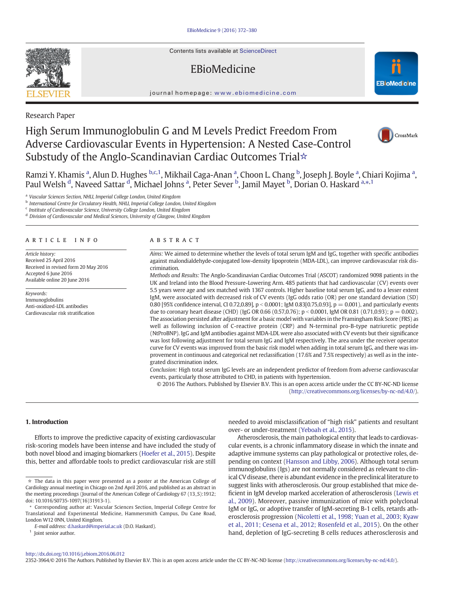Contents lists available at [ScienceDirect](http://www.sciencedirect.com/science/journal/03064603)

# EBioMedicine



journal homepage: <www.ebiomedicine.com>

Research Paper

# High Serum Immunoglobulin G and M Levels Predict Freedom From Adverse Cardiovascular Events in Hypertension: A Nested Case-Control Substudy of the Anglo-Scandinavian Cardiac Outcomes Trial☆



Ramzi Y. Khamis <sup>a</sup>, Alun D. Hughes <sup>b,c,1</sup>, Mikhail Caga-Anan <sup>a</sup>, Choon L. Chang <sup>b</sup>, Joseph J. Boyle <sup>a</sup>, Chiari Kojima <sup>a</sup>, Paul Welsh <sup>d</sup>, Naveed Sattar <sup>d</sup>, Michael Johns <sup>a</sup>, Peter Sever <sup>b</sup>, Jamil Mayet <sup>b</sup>, Dorian O. Haskard <sup>a,\*, 1</sup>

<sup>a</sup> Vascular Sciences Section, NHLI, Imperial College London, United Kingdom

**b** International Centre for Circulatory Health, NHLI, Imperial College London, United Kingdom

<sup>c</sup> Institute of Cardiovascular Science, University College London, United Kingdom

<sup>d</sup> Division of Cardiovascular and Medical Sciences, University of Glasgow, United Kingdom

#### article info abstract

Article history: Received 25 April 2016 Received in revised form 20 May 2016 Accepted 6 June 2016 Available online 20 June 2016

Keywords: Immunoglobulins Anti-oxidized-LDL antibodies Cardiovascular risk stratification

Aims: We aimed to determine whether the levels of total serum IgM and IgG, together with specific antibodies against malondialdehyde-conjugated low-density lipoprotein (MDA-LDL), can improve cardiovascular risk discrimination.

Methods and Results: The Anglo-Scandinavian Cardiac Outcomes Trial (ASCOT) randomized 9098 patients in the UK and Ireland into the Blood Pressure-Lowering Arm. 485 patients that had cardiovascular (CV) events over 5.5 years were age and sex matched with 1367 controls. Higher baseline total serum IgG, and to a lesser extent IgM, were associated with decreased risk of CV events (IgG odds ratio (OR) per one standard deviation (SD) 0.80 [95% confidence interval, CI 0.72,0.89],  $p < 0.0001$ ; IgM 0.83[0.75,0.93],  $p = 0.001$ ), and particularly events due to coronary heart disease (CHD) (IgG OR 0.66 (0.57,0.76);  $p < 0.0001$ , IgM OR 0.81 (0.71,0.93);  $p = 0.002$ ). The association persisted after adjustment for a basic model with variables in the Framingham Risk Score (FRS) as well as following inclusion of C-reactive protein (CRP) and N-terminal pro-B-type natriuretic peptide (NtProBNP). IgG and IgM antibodies against MDA-LDL were also associated with CV events but their significance was lost following adjustment for total serum IgG and IgM respectively. The area under the receiver operator curve for CV events was improved from the basic risk model when adding in total serum IgG, and there was improvement in continuous and categorical net reclassification (17.6% and 7.5% respectively) as well as in the integrated discrimination index.

Conclusion: High total serum IgG levels are an independent predictor of freedom from adverse cardiovascular events, particularly those attributed to CHD, in patients with hypertension.

© 2016 The Authors. Published by Elsevier B.V. This is an open access article under the CC BY-NC-ND license (<http://creativecommons.org/licenses/by-nc-nd/4.0/>).

# 1. Introduction

Efforts to improve the predictive capacity of existing cardiovascular risk-scoring models have been intense and have included the study of both novel blood and imaging biomarkers [\(Hoefer et al., 2015\)](#page-7-0). Despite this, better and affordable tools to predict cardiovascular risk are still

 $^{\rm 1}$  Joint senior author.

needed to avoid misclassification of "high risk" patients and resultant over- or under-treatment ([Yeboah et al., 2015\)](#page-8-0).

Atherosclerosis, the main pathological entity that leads to cardiovascular events, is a chronic inflammatory disease in which the innate and adaptive immune systems can play pathological or protective roles, depending on context ([Hansson and Libby, 2006](#page-7-0)). Although total serum immunoglobulins (Igs) are not normally considered as relevant to clinical CV disease, there is abundant evidence in the preclinical literature to suggest links with atherosclerosis. Our group established that mice deficient in IgM develop marked acceleration of atherosclerosis [\(Lewis et](#page-8-0) [al., 2009\)](#page-8-0). Moreover, passive immunization of mice with polyclonal IgM or IgG, or adoptive transfer of IgM-secreting B-1 cells, retards atherosclerosis progression ([Nicoletti et al., 1998; Yuan et al., 2003; Kyaw](#page-8-0) [et al., 2011; Cesena et al., 2012; Rosenfeld et al., 2015](#page-8-0)). On the other hand, depletion of IgG-secreting B cells reduces atherosclerosis and

#### <http://dx.doi.org/10.1016/j.ebiom.2016.06.012>

2352-3964/© 2016 The Authors. Published by Elsevier B.V. This is an open access article under the CC BY-NC-ND license [\(http://creativecommons.org/licenses/by-nc-nd/4.0/\)](http://creativecommons.org/licenses/by-nc-nd/4.0/).



<sup>☆</sup> The data in this paper were presented as a poster at the American College of Cardiology annual meeting in Chicago on 2nd April 2016, and published as an abstract in the meeting proceedings (Journal of the American College of Cardiology 67 (13\_S):1912; doi: 10.1016/S0735-1097(16)31913-1).

<sup>⁎</sup> Corresponding author at: Vascular Sciences Section, Imperial College Centre for Translational and Experimental Medicine, Hammersmith Campus, Du Cane Road, London W12 0NN, United Kingdom.

E-mail address: [d.haskard@imperial.ac.uk](mailto:d.haskard@imperial.ac.uk) (D.O. Haskard).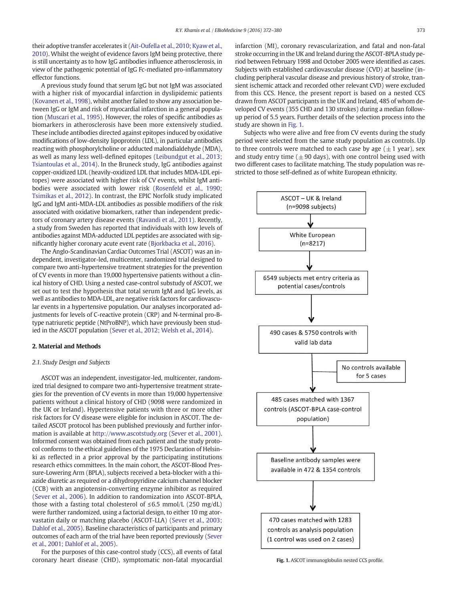<span id="page-1-0"></span>their adoptive transfer accelerates it ([Ait-Oufella et al., 2010; Kyaw et al.,](#page-7-0) [2010](#page-7-0)). Whilst the weight of evidence favors IgM being protective, there is still uncertainty as to how IgG antibodies influence atherosclerosis, in view of the pathogenic potential of IgG Fc-mediated pro-inflammatory effector functions.

A previous study found that serum IgG but not IgM was associated with a higher risk of myocardial infarction in dyslipidemic patients [\(Kovanen et al., 1998](#page-8-0)), whilst another failed to show any association between IgG or IgM and risk of myocardial infarction in a general population [\(Muscari et al., 1995\)](#page-8-0). However, the roles of specific antibodies as biomarkers in atherosclerosis have been more extensively studied. These include antibodies directed against epitopes induced by oxidative modifications of low-density lipoprotein (LDL), in particular antibodies reacting with phosphorylcholine or adducted malondialdehyde (MDA), as well as many less well-defined epitopes [\(Leibundgut et al., 2013;](#page-8-0) [Tsiantoulas et al., 2014\)](#page-8-0). In the Bruneck study, IgG antibodies against copper-oxidized LDL (heavily-oxidized LDL that includes MDA-LDL epitopes) were associated with higher risk of CV events, whilst IgM antibodies were associated with lower risk [\(Rosenfeld et al., 1990;](#page-8-0) [Tsimikas et al., 2012](#page-8-0)). In contrast, the EPIC Norfolk study implicated IgG and IgM anti-MDA-LDL antibodies as possible modifiers of the risk associated with oxidative biomarkers, rather than independent predictors of coronary artery disease events [\(Ravandi et al., 2011](#page-8-0)). Recently, a study from Sweden has reported that individuals with low levels of antibodies against MDA-adducted LDL peptides are associated with significantly higher coronary acute event rate [\(Bjorkbacka et al., 2016](#page-7-0)).

The Anglo-Scandinavian Cardiac Outcomes Trial (ASCOT) was an independent, investigator-led, multicenter, randomized trial designed to compare two anti-hypertensive treatment strategies for the prevention of CV events in more than 19,000 hypertensive patients without a clinical history of CHD. Using a nested case-control substudy of ASCOT, we set out to test the hypothesis that total serum IgM and IgG levels, as well as antibodies to MDA-LDL, are negative risk factors for cardiovascular events in a hypertensive population. Our analyses incorporated adjustments for levels of C-reactive protein (CRP) and N-terminal pro-Btype natriuretic peptide (NtProBNP), which have previously been studied in the ASCOT population [\(Sever et al., 2012; Welsh et al., 2014](#page-8-0)).

### 2. Material and Methods

#### 2.1. Study Design and Subjects

ASCOT was an independent, investigator-led, multicenter, randomized trial designed to compare two anti-hypertensive treatment strategies for the prevention of CV events in more than 19,000 hypertensive patients without a clinical history of CHD (9098 were randomized in the UK or Ireland). Hypertensive patients with three or more other risk factors for CV disease were eligible for inclusion in ASCOT. The detailed ASCOT protocol has been published previously and further information is available at <http://www.ascotstudy.org> [\(Sever et al., 2001](#page-8-0)). Informed consent was obtained from each patient and the study protocol conforms to the ethical guidelines of the 1975 Declaration of Helsinki as reflected in a prior approval by the participating institutions research ethics committees. In the main cohort, the ASCOT-Blood Pressure-Lowering Arm (BPLA), subjects received a beta-blocker with a thiazide diuretic as required or a dihydropyridine calcium channel blocker (CCB) with an angiotensin-converting enzyme inhibitor as required [\(Sever et al., 2006](#page-8-0)). In addition to randomization into ASCOT-BPLA, those with a fasting total cholesterol of  $\leq 6.5$  mmol/L (250 mg/dL) were further randomized, using a factorial design, to either 10 mg atorvastatin daily or matching placebo (ASCOT-LLA) [\(Sever et al., 2003;](#page-8-0) [Dahlof et al., 2005](#page-8-0)). Baseline characteristics of participants and primary outcomes of each arm of the trial have been reported previously [\(Sever](#page-8-0) [et al., 2001; Dahlof et al., 2005\)](#page-8-0).

For the purposes of this case-control study (CCS), all events of fatal coronary heart disease (CHD), symptomatic non-fatal myocardial infarction (MI), coronary revascularization, and fatal and non-fatal stroke occurring in the UK and Ireland during the ASCOT-BPLA study period between February 1998 and October 2005 were identified as cases. Subjects with established cardiovascular disease (CVD) at baseline (including peripheral vascular disease and previous history of stroke, transient ischemic attack and recorded other relevant CVD) were excluded from this CCS. Hence, the present report is based on a nested CCS drawn from ASCOT participants in the UK and Ireland, 485 of whom developed CV events (355 CHD and 130 strokes) during a median followup period of 5.5 years. Further details of the selection process into the study are shown in Fig. 1.

Subjects who were alive and free from CV events during the study period were selected from the same study population as controls. Up to three controls were matched to each case by age  $(\pm 1 \text{ year})$ , sex and study entry time ( $\pm$ 90 days), with one control being used with two different cases to facilitate matching. The study population was restricted to those self-defined as of white European ethnicity.



Fig. 1. ASCOT immunoglobulin nested CCS profile.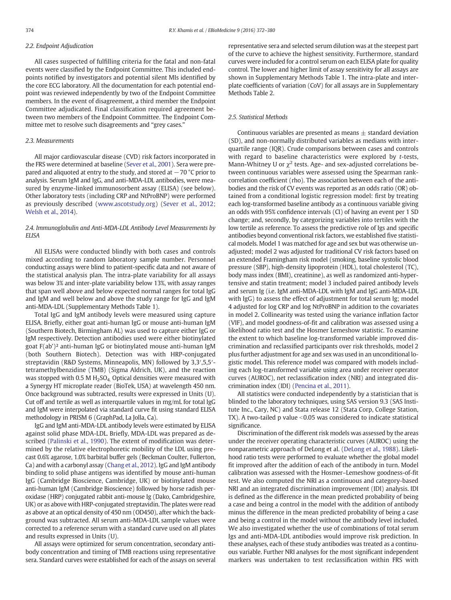# 2.2. Endpoint Adjudication

All cases suspected of fulfilling criteria for the fatal and non-fatal events were classified by the Endpoint Committee. This included endpoints notified by investigators and potential silent MIs identified by the core ECG laboratory. All the documentation for each potential endpoint was reviewed independently by two of the Endpoint Committee members. In the event of disagreement, a third member the Endpoint Committee adjudicated. Final classification required agreement between two members of the Endpoint Committee. The Endpoint Committee met to resolve such disagreements and "grey cases."

# 2.3. Measurements

All major cardiovascular disease (CVD) risk factors incorporated in the FRS were determined at baseline [\(Sever et al., 2001](#page-8-0)). Sera were prepared and aliquoted at entry to the study, and stored at  $-70$  °C prior to analysis. Serum IgM and IgG, and anti-MDA-LDL antibodies, were measured by enzyme-linked immunosorbent assay (ELISA) (see below). Other laboratory tests (including CRP and NtProBNP) were performed as previously described [\(www.ascotstudy.org](http://www.ascotstudy.org)) ([Sever et al., 2012;](#page-8-0) [Welsh et al., 2014\)](#page-8-0).

# 2.4. Immunoglobulin and Anti-MDA-LDL Antibody Level Measurements by **ELISA**

All ELISAs were conducted blindly with both cases and controls mixed according to random laboratory sample number. Personnel conducting assays were blind to patient-specific data and not aware of the statistical analysis plan. The intra-plate variability for all assays was below 3% and inter-plate variability below 13%, with assay ranges that span well above and below expected normal ranges for total IgG and IgM and well below and above the study range for IgG and IgM anti-MDA-LDL (Supplementary Methods Table 1).

Total IgG and IgM antibody levels were measured using capture ELISA. Briefly, either goat anti-human IgG or mouse anti-human IgM (Southern Biotech, Birmingham AL) was used to capture either IgG or IgM respectively. Detection antibodies used were either biotinylated goat F(ab')² anti-human IgG or biotinylated mouse anti-human IgM (both Southern Biotech). Detection was with HRP-conjugated streptavidin (R&D Systems, Minneapolis, MN) followed by 3,3′,5,5′ tetramethylbenzidine (TMB) (Sigma Aldrich, UK), and the reaction was stopped with 0.5 M  $H<sub>2</sub>SO<sub>4</sub>$  Optical densities were measured with a Synergy HT microplate reader (BioTek, USA) at wavelength 450 nm. Once background was subtracted, results were expressed in Units (U). Cut off and tertile as well as interquartile values in mg/mL for total IgG and IgM were interpolated via standard curve fit using standard ELISA methodology in PRISM 6 (GraphPad, La Jolla, Ca).

IgG and IgM anti-MDA-LDL antibody levels were estimated by ELISA against solid phase MDA-LDL. Briefly, MDA-LDL was prepared as described [\(Palinski et al., 1990\)](#page-8-0). The extent of modification was determined by the relative electrophoretic mobility of the LDL using precast 0.6% agarose, 1.0% barbital buffer gels (Beckman Coulter, Fullerton, Ca) and with a carbonyl assay ([Chang et al., 2012\)](#page-7-0). IgG and IgM antibody binding to solid phase antigens was identified by mouse anti-human IgG (Cambridge Bioscience, Cambridge, UK) or biotinylated mouse anti-human IgM (Cambridge Bioscience) followed by horse radish peroxidase (HRP) conjugated rabbit anti-mouse Ig (Dako, Cambridgeshire, UK) or as above with HRP-conjugated streptavidin. The plates were read as above at an optical density of 450 nm (OD450), after which the background was subtracted. All serum anti-MDA-LDL sample values were corrected to a reference serum with a standard curve used on all plates and results expressed in Units (U).

All assays were optimized for serum concentration, secondary antibody concentration and timing of TMB reactions using representative sera. Standard curves were established for each of the assays on several representative sera and selected serum dilution was at the steepest part of the curve to achieve the highest sensitivity. Furthermore, standard curves were included for a control serum on each ELISA plate for quality control. The lower and higher limit of assay sensitivity for all assays are shown in Supplementary Methods Table 1. The intra-plate and interplate coefficients of variation (CoV) for all assays are in Supplementary Methods Table 2.

# 2.5. Statistical Methods

Continuous variables are presented as means  $\pm$  standard deviation (SD), and non-normally distributed variables as medians with interquartile range (IQR). Crude comparisons between cases and controls with regard to baseline characteristics were explored by t-tests, Mann-Whitney U or  $\chi^2$  tests. Age- and sex-adjusted correlations between continuous variables were assessed using the Spearman rankcorrelation coefficient (rho). The association between each of the antibodies and the risk of CV events was reported as an odds ratio (OR) obtained from a conditional logistic regression model: first by treating each log-transformed baseline antibody as a continuous variable giving an odds with 95% confidence intervals (CI) of having an event per 1 SD change; and, secondly, by categorizing variables into tertiles with the low tertile as reference. To assess the predictive role of Igs and specific antibodies beyond conventional risk factors, we established five statistical models. Model 1 was matched for age and sex but was otherwise unadjusted; model 2 was adjusted for traditional CV risk factors based on an extended Framingham risk model (smoking, baseline systolic blood pressure (SBP), high-density lipoprotein (HDL), total cholesterol (TC), body mass index (BMI), creatinine), as well as randomized anti-hypertensive and statin treatment; model 3 included paired antibody levels and serum Ig (i.e. IgM anti-MDA-LDL with IgM and IgG anti-MDA-LDL with IgG) to assess the effect of adjustment for total serum Ig; model 4 adjusted for log CRP and log NtProBNP in addition to the covariates in model 2. Collinearity was tested using the variance inflation factor (VIF), and model goodness-of-fit and calibration was assessed using a likelihood ratio test and the Hosmer Lemeshow statistic. To examine the extent to which baseline log-transformed variable improved discrimination and reclassified participants over risk thresholds, model 2 plus further adjustment for age and sex was used in an unconditional logistic model. This reference model was compared with models including each log-transformed variable using area under receiver operator curves (AUROC), net reclassification index (NRI) and integrated discrimination index (IDI) ([Pencina et al., 2011\)](#page-8-0).

All statistics were conducted independently by a statistician that is blinded to the laboratory techniques, using SAS version 9.3 (SAS Institute Inc., Cary, NC) and Stata release 12 (Stata Corp, College Station, TX). A two-tailed  $p$  value < 0.05 was considered to indicate statistical significance.

Discrimination of the different risk models was assessed by the areas under the receiver operating characteristic curves (AUROC) using the nonparametric approach of DeLong et al. [\(DeLong et al., 1988\)](#page-7-0). Likelihood ratio tests were performed to evaluate whether the global model fit improved after the addition of each of the antibody in turn. Model calibration was assessed with the Hosmer–Lemeshow goodness-of-fit test. We also computed the NRI as a continuous and category-based NRI and an integrated discrimination improvement (IDI) analysis. IDI is defined as the difference in the mean predicted probability of being a case and being a control in the model with the addition of antibody minus the difference in the mean predicted probability of being a case and being a control in the model without the antibody level included. We also investigated whether the use of combinations of total serum Igs and anti-MDA-LDL antibodies would improve risk prediction. In these analyses, each of these study antibodies was treated as a continuous variable. Further NRI analyses for the most significant independent markers was undertaken to test reclassification within FRS with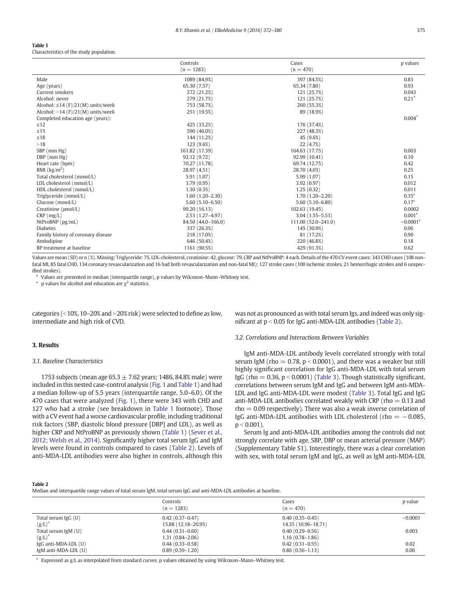# Table 1

Characteristics of the study population.

|                                                 | Controls            | Cases               | p values                |
|-------------------------------------------------|---------------------|---------------------|-------------------------|
|                                                 | $(n = 1283)$        | $(n = 470)$         |                         |
| Male                                            | 1089 (84.9%)        | 397 (84.5%)         | 0.83                    |
| Age (years)                                     | 65.30 (7.57)        | 65.34 (7.80)        | 0.93                    |
| Current smokers                                 | 272 (21.2%)         | 121 (25.7%)         | 0.043                   |
| Alcohol: never                                  | 279 (21.7%)         | 121 (25.7%)         | $0.21*$                 |
| Alcohol: $\leq$ 14 (F)/21(M) units/week         | 753 (58.7%)         | 260 (55.3%)         |                         |
| Alcohol: $>14$ (F)/21(M) units/week             | 251 (19.5%)         | 89 (18.9%)          |                         |
| Completed education age (years):                |                     |                     | $0.004*$                |
| $\leq 12$                                       | 425 (33.2%)         | 176 (37.4%)         |                         |
| $\leq 15$                                       | 590 (46.0%)         | 227 (48.3%)         |                         |
| $\leq 18$                                       | 144 (11.2%)         | 45 (9.6%)           |                         |
| >18                                             | 123 (9.6%)          | 22 (4.7%)           |                         |
| SBP (mm Hg)                                     | 161.82 (17.39)      | 164.63 (17.75)      | 0.003                   |
| $DBP$ (mm $Hg$ )                                | 92.12 (9.72)        | 92.99 (10.41)       | 0.10                    |
| Heart rate (bpm)                                | 70.27 (11.78)       | 69.74 (12.75)       | 0.42                    |
| BMI $\left(\frac{\text{kg}}{\text{m}^2}\right)$ | 28.97 (4.51)        | 28.70 (4.03)        | 0.25                    |
| Total cholesterol (mmol/L)                      | 5.91 (1.07)         | 5.99(1.07)          | 0.15                    |
| LDL cholesterol (mmol/L)                        | 3.79(0.95)          | 3.92(0.97)          | 0.012                   |
| HDL cholesterol (mmol/L)                        | 1.30(0.35)          | 1.25(0.32)          | 0.011                   |
| Triglyceride (mmol/L)                           | $1.60(1.20-2.30)$   | $1.70(1.20 - 2.20)$ | $0.35*$                 |
| Glucose (mmol/L)                                | $5.60(5.10 - 6.50)$ | $5.60(5.10 - 6.80)$ | $0.17*$                 |
| Creatinine (µmol/L)                             | 99.20 (16.13)       | 102.63 (19.45)      | 0.0002                  |
| $CRP$ (mg/L)                                    | $2.53(1.27 - 4.97)$ | $3.04(1.55 - 5.53)$ | $0.001*$                |
| NtProBNP (pg/mL)                                | 84.50 (44.0-166.0)  | 111.00 (52.0-241.0) | $< 0.0001$ <sup>*</sup> |
| <b>Diabetes</b>                                 | 337 (26.3%)         | 145 (30.9%)         | 0.06                    |
| Family history of coronary disease              | 218 (17.0%)         | 81 (17.2%)          | 0.90                    |
| Amlodipine                                      | 646 (50.4%)         | 220 (46.8%)         | 0.18                    |
| BP treatment at baseline                        | 1161 (90.5%)        | 429 (91.3%)         | 0.62                    |

Values are mean (SD) or n (%). Missing: Triglyceride: 75, LDL-cholesterol, creatinine: 42, glucose: 79, CRP and NtProBNP: 4 each. Details of the 470 CV event cases: 343 CHD cases (108 nonfatal MI, 85 fatal CHD, 134 coronary revascularization and 16 had both revascularization and non-fatal MI); 127 stroke cases (100 ischemic strokes, 21 hemorrhagic strokes and 6 unspecified strokes).

<sup>ǂ</sup> Values are presented in median (interquartile range), p values by Wilcoxon–Mann–Whitney test.

 $*$  p values for alcohol and education are  $\chi^2$  statistics.

categories ( $<$  10%, 10–20% and  $>$  20% risk) were selected to define as low, intermediate and high risk of CVD.

# 3. Results

# 3.1. Baseline Characteristics

1753 subjects (mean age  $65.3 \pm 7.62$  years; 1486, 84.8% male) were included in this nested case-control analysis [\(Fig. 1](#page-1-0) and Table 1) and had a median follow-up of 5.5 years (interquartile range, 5.0–6.0). Of the 470 cases that were analyzed [\(Fig. 1\)](#page-1-0), there were 343 with CHD and 127 who had a stroke (see breakdown in Table 1 footnote). Those with a CV event had a worse cardiovascular profile, including traditional risk factors (SBP, diastolic blood pressure [DBP] and LDL), as well as higher CRP and NtProBNP as previously shown (Table 1) [\(Sever et al.,](#page-8-0) [2012; Welsh et al., 2014\)](#page-8-0). Significantly higher total serum IgG and IgM levels were found in controls compared to cases (Table 2). Levels of anti-MDA-LDL antibodies were also higher in controls, although this was not as pronounced as with total serum Igs, and indeed was only significant at  $p < 0.05$  for IgG anti-MDA-LDL antibodies (Table 2).

#### 3.2. Correlations and Interactions Between Variables

IgM anti-MDA-LDL antibody levels correlated strongly with total serum IgM (rho  $= 0.78$ , p < 0.0001), and there was a weaker but still highly significant correlation for IgG anti-MDA-LDL with total serum IgG (rho = 0.36,  $p < 0.0001$ ) [\(Table 3](#page-4-0)). Though statistically significant, correlations between serum IgM and IgG and between IgM anti-MDA-LDL and IgG anti-MDA-LDL were modest ([Table 3\)](#page-4-0). Total IgG and IgG anti-MDA-LDL antibodies correlated weakly with CRP (rho  $= 0.13$  and  $rho = 0.09$  respectively). There was also a weak inverse correlation of IgG anti-MDA-LDL antibodies with LDL cholesterol (rho =  $-0.085$ ,  $p < 0.001$ .

Serum Ig and anti-MDA-LDL antibodies among the controls did not strongly correlate with age, SBP, DBP or mean arterial pressure (MAP) (Supplementary Table S1). Interestingly, there was a clear correlation with sex, with total serum IgM and IgG, as well as IgM anti-MDA-LDL

Table 2

Median and interquartile range values of total serum IgM, total serum IgG and anti-MDA-LDL antibodies at baseline.

|                      | Controls<br>$(n = 1283)$ | Cases<br>$(n = 470)$ | p value  |
|----------------------|--------------------------|----------------------|----------|
| Total serum IgG (U)  | $0.42(0.37-0.47)$        | $0.40(0.35-0.45)$    | < 0.0001 |
| $(g/L)^*$            | 15.88 (12.18–20.95)      | 14.35 (10.96-18.71)  |          |
| Total serum IgM (U)  | $0.44(0.31-0.60)$        | $0.40(0.29-0.56)$    | 0.003    |
| $(g/L)^*$            | $1.31(0.84 - 2.06)$      | $1.16(0.78-1.86)$    |          |
| IgG anti-MDA-LDL (U) | $0.44(0.33-0.58)$        | $0.42(0.31-0.55)$    | 0.02     |
| IgM anti-MDA-LDL (U) | $0.89(0.59-1.20)$        | $0.86(0.56-1.13)$    | 0.06     |

Expressed as g/L as interpolated from standard curves. p values obtained by using Wilcoxon–Mann–Whitney test.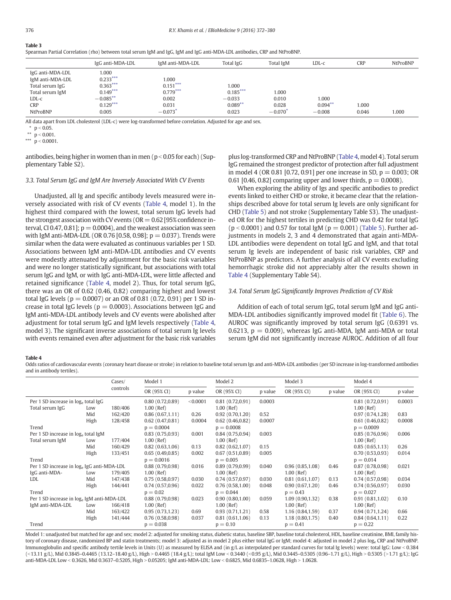<span id="page-4-0"></span>

| Spearman Partial Correlation (rho) between total serum IgM and IgG, IgM and IgG anti-MDA-LDL antibodies, CRP and NtProBNP. |  |  |  |  |  |
|----------------------------------------------------------------------------------------------------------------------------|--|--|--|--|--|
|                                                                                                                            |  |  |  |  |  |

|                  |                  |                  |                  | Total IgM |            | <b>CRP</b> | <b>NtProBNP</b> |
|------------------|------------------|------------------|------------------|-----------|------------|------------|-----------------|
|                  | IgG anti-MDA-LDL | IgM anti-MDA-LDL | <b>Total IgG</b> |           | $LDL-c$    |            |                 |
| IgG anti-MDA-LDL | 1.000            |                  |                  |           |            |            |                 |
| IgM anti-MDA-LDL | $0.233***$       | 1.000            |                  |           |            |            |                 |
| Total serum IgG  | $0.363***$       | $0.151***$       | 1.000            |           |            |            |                 |
| Total serum IgM  | $0.149***$       | $0.779***$       | $0.185***$       | 1.000     |            |            |                 |
| $LDL-c$          | $-0.085**$       | 0.002            | $-0.033$         | 0.010     | 1.000      |            |                 |
| <b>CRP</b>       | $0.129***$       | 0.031            | $0.089**$        | 0.028     | $0.094***$ | 1.000      |                 |
| NtProBNP         | 0.005            | $-0.073*$        | 0.023            | $-0.070*$ | $-0.008$   | 0.046      | 1.000           |

All data apart from LDL cholesterol (LDL-c) were log-transformed before correlation. Adjusted for age and sex.

 $p < 0.05$ .

\*\*  $p < 0.001$ .

\*\*\*  $p < 0.0001$ .

antibodies, being higher in women than in men ( $p < 0.05$  for each) (Supplementary Table S2).

# 3.3. Total Serum IgG and IgM Are Inversely Associated With CV Events

Unadjusted, all Ig and specific antibody levels measured were inversely associated with risk of CV events (Table 4, model 1). In the highest third compared with the lowest, total serum IgG levels had the strongest association with CV events ( $OR = 0.62$  [95% confidence interval, CI 0.47, 0.81];  $p = 0.0004$ ), and the weakest association was seen with IgM anti-MDA-LDL (OR 0.76 [0.58, 0.98];  $p = 0.037$ ). Trends were similar when the data were evaluated as continuous variables per 1 SD. Associations between IgM anti-MDA-LDL antibodies and CV events were modestly attenuated by adjustment for the basic risk variables and were no longer statistically significant, but associations with total serum IgG and IgM, or with IgG anti-MDA-LDL, were little affected and retained significance (Table 4, model 2). Thus, for total serum IgG, there was an OR of 0.62 (0.46, 0.82) comparing highest and lowest total IgG levels ( $p = 0.0007$ ) or an OR of 0.81 (0.72, 0.91) per 1 SD increase in total IgG levels ( $p = 0.0003$ ). Associations between IgG and IgM anti-MDA-LDL antibody levels and CV events were abolished after adjustment for total serum IgG and IgM levels respectively (Table 4, model 3). The significant inverse associations of total serum Ig levels with events remained even after adjustment for the basic risk variables plus log-transformed CRP and NtProBNP (Table 4, model 4). Total serum IgG remained the strongest predictor of protection after full adjustment in model 4 (OR 0.81 [0.72, 0.91] per one increase in SD,  $p = 0.003$ ; OR 0.61 [0.46, 0.82] comparing upper and lower thirds,  $p = 0.0008$ ).

When exploring the ability of Igs and specific antibodies to predict events linked to either CHD or stroke, it became clear that the relationships described above for total serum Ig levels are only significant for CHD [\(Table 5\)](#page-5-0) and not stroke (Supplementary Table S3). The unadjusted OR for the highest tertiles in predicting CHD was 0.42 for total IgG  $(p < 0.0001)$  and 0.57 for total IgM ( $p = 0.001$ ) ([Table 5\)](#page-5-0). Further adjustments in models 2, 3 and 4 demonstrated that again anti-MDA-LDL antibodies were dependent on total IgG and IgM, and that total serum Ig levels are independent of basic risk variables, CRP and NtProBNP as predictors. A further analysis of all CV events excluding hemorrhagic stroke did not appreciably alter the results shown in Table 4 (Supplementary Table S4).

### 3.4. Total Serum IgG Significantly Improves Prediction of CV Risk

Addition of each of total serum IgG, total serum IgM and IgG anti-MDA-LDL antibodies significantly improved model fit ([Table 6](#page-5-0)). The AUROC was significantly improved by total serum IgG (0.6391 vs. 0.6213,  $p = 0.009$ ), whereas IgG anti-MDA, IgM anti-MDA or total serum IgM did not significantly increase AUROC. Addition of all four

#### Table 4

Odds ratios of cardiovascular events (coronary heart disease or stroke) in relation to baseline total serum Igs and anti-MDA-LDL antibodies (per SD increase in log-transformed antibodies and in antibody tertiles).

| $\text{Cases}/$                                        |      |          | Model 1          |          | Model 2          |         | Model 3          |         | Model 4          |         |
|--------------------------------------------------------|------|----------|------------------|----------|------------------|---------|------------------|---------|------------------|---------|
|                                                        |      | controls | OR (95% CI)      | p value  | OR (95% CI)      | p value | OR (95% CI)      | p value | OR (95% CI)      | p value |
| Per 1 SD increase in log <sub>e</sub> total IgG        |      |          | 0.80(0.72,0.89)  | < 0.0001 | 0.81(0.72,0.91)  | 0.0003  |                  |         | 0.81(0.72,0.91)  | 0.0003  |
| Total serum IgG                                        | Low  | 180/406  | $1.00$ (Ref)     |          | $1.00$ (Ref)     |         |                  |         | $1.00$ (Ref)     |         |
|                                                        | Mid  | 162/420  | 0.86(0.67,1.11)  | 0.26     | 0.92(0.70, 1.20) | 0.52    |                  |         | 0.97(0.74, 1.28) | 0.83    |
|                                                        | High | 128/458  | 0.62(0.47, 0.81) | 0.0004   | 0.62(0.46, 0.82) | 0.0007  |                  |         | 0.61(0.46, 0.82) | 0.0008  |
| Trend                                                  |      |          | $p = 0.0004$     |          | $p = 0.0008$     |         |                  |         | $p = 0.0009$     |         |
| Per 1 SD increase in log <sub>e</sub> total IgM        |      |          | 0.83(0.75,0.93)  | 0.001    | 0.84(0.75, 0.94) | 0.003   |                  |         | 0.85(0.76, 0.96) | 0.006   |
| Total serum IgM                                        | Low  | 177/404  | $1.00$ (Ref)     |          | $1.00$ (Ref)     |         |                  |         | $1.00$ (Ref)     |         |
|                                                        | Mid  | 160/429  | 0.82(0.63, 1.06) | 0.13     | 0.82(0.62, 1.07) | 0.15    |                  |         | 0.85(0.65, 1.13) | 0.26    |
|                                                        | High | 133/451  | 0.65(0.49, 0.85) | 0.002    | 0.67(0.51, 0.89) | 0.005   |                  |         | 0.70(0.53,0.93)  | 0.014   |
| Trend                                                  |      |          | $p = 0.0016$     |          | $p = 0.005$      |         |                  |         | $p = 0.014$      |         |
| Per 1 SD increase in log <sub>e</sub> IgG anti-MDA-LDL |      |          | 0.88(0.79, 0.98) | 0.016    | 0.89(0.79, 0.99) | 0.040   | 0.96(0.85, 1.08) | 0.46    | 0.87(0.78, 0.98) | 0.021   |
| IgG anti-MDA-                                          | Low  | 179/405  | $1.00$ (Ref)     |          | $1.00$ (Ref)     |         | $1.00$ (Ref)     |         | $1.00$ (Ref)     |         |
| <b>LDL</b>                                             | Mid  | 147/438  | 0.75(0.58, 0.97) | 0.030    | 0.74(0.57,0.97)  | 0.030   | 0.81(0.61, 1.07) | 0.13    | 0.74(0.57,0.98)  | 0.034   |
|                                                        | High | 144/441  | 0.74(0.57,0.96)  | 0.022    | 0.76(0.58, 1.00) | 0.048   | 0.90(0.67, 1.20) | 0.46    | 0.74(0.56, 0.97) | 0.030   |
| Trend                                                  |      |          | $p = 0.02$       |          | $p = 0.044$      |         | $p = 0.43$       |         | $p = 0.027$      |         |
| Per 1 SD increase in log <sub>e</sub> IgM anti-MDA-LDL |      |          | 0.88(0.79, 0.98) | 0.023    | 0.90(0.80, 1.00) | 0.059   | 1.09(0.90, 1.32) | 0.38    | 0.91(0.81, 1.02) | 0.10    |
| IgM anti-MDA-LDL                                       | Low  | 166/418  | $1.00$ (Ref)     |          | $1.00$ (Ref)     |         | $1.00$ (Ref)     |         | $1.00$ (Ref)     |         |
|                                                        | Mid  | 163/422  | 0.95(0.73, 1.23) | 0.69     | 0.93(0.71, 1.21) | 0.58    | 1.16(0.84, 1.59) | 0.37    | 0.94(0.71, 1.24) | 0.66    |
|                                                        | High | 141/444  | 0.76(0.58,0.98)  | 0.037    | 0.81(0.61, 1.06) | 0.13    | 1.18(0.80, 1.75) | 0.40    | 0.84(0.64, 1.11) | 0.22    |
| Trend                                                  |      |          | $p = 0.038$      |          | $p = 0.10$       |         | $p = 0.41$       |         | $p = 0.22$       |         |

Model 1: unadjusted but matched for age and sex; model 2: adjusted for smoking status, diabetic status, baseline SBP, baseline total cholesterol, HDL, baseline creatinine, BMI, family history of coronary disease, randomized BP and statin treatments; model 3: adjusted as in model 2 plus either total IgG or IgM; model 4: adjusted in model 2 plus log<sub>e</sub> CRP and NtProBNP. Immunoglobulin and specific antibody tertile levels in Units (U) as measured by ELISA and (in g/L as interpolated per standard curves for total Ig levels) were: total IgG: Low < 0.384  $(-13.11$  g/L), Mid 0.3845-0.4465 (13.12-18.40 g/L), High > 0.4465 (18.4 g/L); total IgM Low < 0.3440  $(-0.95$  g/L), Mid 0.3445-0.5305 (0.96-1.71 g/L), High > 0.5305  $(-1.71$  g/L); IgG anti-MDA-LDL Low < 0.3626, Mid 0.3637-0.5205, High > 0.05205; IgM anti-MDA-LDL: Low < 0.6825, Mid 0.6835-1.0628, High > 1.0628.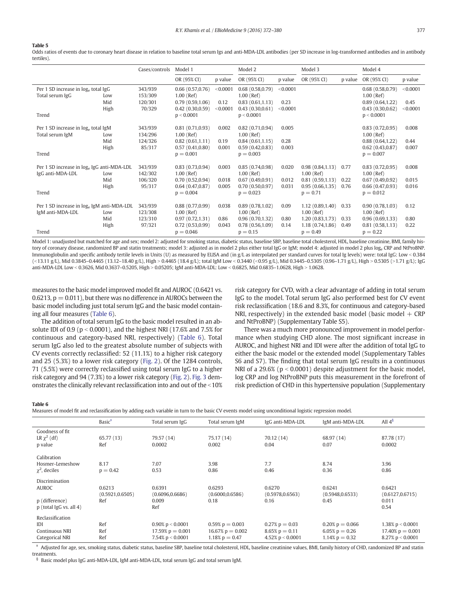#### <span id="page-5-0"></span>Table 5

Odds ratios of events due to coronary heart disease in relation to baseline total serum Igs and anti-MDA-LDL antibodies (per SD increase in log-transformed antibodies and in antibody tertiles).

|                                                        |      | Cases/controls | Model 1          |          | Model 2          |          | Model 3          |         | Model 4          |          |
|--------------------------------------------------------|------|----------------|------------------|----------|------------------|----------|------------------|---------|------------------|----------|
|                                                        |      |                | OR (95% CI)      | p value  | OR (95% CI)      | p value  | OR (95% CI)      | p value | OR (95% CI)      | p value  |
| Per 1 SD increase in $log_e$ total IgG                 |      | 343/939        | 0.66(0.57,0.76)  | < 0.0001 | 0.68(0.58, 0.79) | < 0.0001 |                  |         | 0.68(0.58, 0.79) | < 0.0001 |
| Total serum IgG                                        | Low  | 153/309        | $1.00$ (Ref)     |          | $1.00$ (Ref)     |          |                  |         | $1.00$ (Ref)     |          |
|                                                        | Mid  | 120/301        | 0.79(0.59, 1.06) | 0.12     | 0.83(0.61, 1.13) | 0.23     |                  |         | 0.89(0.64, 1.22) | 0.45     |
|                                                        | High | 70/329         | 0.42(0.30, 0.59) | < 0.0001 | 0.43(0.30, 0.61) | < 0.0001 |                  |         | 0.43(0.30, 0.62) | < 0.0001 |
| Trend                                                  |      |                | p < 0.0001       |          | p < 0.0001       |          |                  |         | p < 0.0001       |          |
| Per 1 SD increase in log <sub>e</sub> total IgM        |      | 343/939        | 0.81(0.71, 0.93) | 0.002    | 0.82(0.71, 0.94) | 0.005    |                  |         | 0.83(0.72,0.95)  | 0.008    |
| Total serum IgM                                        | Low  | 134/296        | $1.00$ (Ref)     |          | $1.00$ (Ref)     |          |                  |         | $1.00$ (Ref)     |          |
|                                                        | Mid  | 124/326        | 0.82(0.61, 1.11) | 0.19     | 0.84(0.61, 1.15) | 0.28     |                  |         | 0.88(0.64, 1.22) | 0.44     |
|                                                        | High | 85/317         | 0.57(0.41, 0.80) | 0.001    | 0.59(0.42, 0.83) | 0.003    |                  |         | 0.62(0.43, 0.87) | 0.007    |
| Trend                                                  |      |                | $p = 0.001$      |          | $p = 0.003$      |          |                  |         | $p = 0.007$      |          |
|                                                        |      |                |                  |          |                  |          |                  |         |                  |          |
| Per 1 SD increase in log. IgG anti-MDA-LDL             |      | 343/939        | 0.83(0.73,0.94)  | 0.003    | 0.85(0.74, 0.98) | 0.020    | 0.98(0.84, 1.13) | 0.77    | 0.83(0.72, 0.95) | 0.008    |
| IgG anti-MDA-LDL                                       | Low  | 142/302        | $1.00$ (Ref)     |          | $1.00$ (Ref)     |          | $1.00$ (Ref)     |         | $1.00$ (Ref)     |          |
|                                                        | Mid  | 106/320        | 0.70(0.52,0.94)  | 0.018    | 0.67(0.49, 0.91) | 0.012    | 0.81(0.59, 1.13) | 0.22    | 0.67(0.49, 0.92) | 0.015    |
|                                                        | High | 95/317         | 0.64(0.47,0.87)  | 0.005    | 0.70(0.50, 0.97) | 0.031    | 0.95(0.66, 1.35) | 0.76    | 0.66(0.47,0.93)  | 0.016    |
| Trend                                                  |      |                | $p = 0.004$      |          | $p = 0.023$      |          | $p = 0.71$       |         | $p = 0.012$      |          |
| Per 1 SD increase in log <sub>e</sub> IgM anti-MDA-LDL |      | 343/939        | 0.88(0.77, 0.99) | 0.038    | 0.89(0.78, 1.02) | 0.09     | 1.12(0.89, 1.40) | 0.33    | 0.90(0.78, 1.03) | 0.12     |
| IgM anti-MDA-LDL                                       | Low  | 123/308        | $1.00$ (Ref)     |          | $1.00$ (Ref)     |          | $1.00$ (Ref)     |         | $1.00$ (Ref)     |          |
|                                                        | Mid  | 123/310        | 0.97(0.72, 1.31) | 0.86     | 0.96(0.70, 1.32) | 0.80     | 1.20(0.83, 1.73) | 0.33    | 0.96(0.69, 1.33) | 0.80     |
|                                                        | High | 97/321         | 0.72(0.53,0.99)  | 0.043    | 0.78(0.56, 1.09) | 0.14     | 1.18 (0.74,1.86) | 0.49    | 0.81(0.58, 1.13) | 0.22     |
| Trend                                                  |      |                | $p = 0.046$      |          | $p = 0.15$       |          | $p = 0.49$       |         | $p = 0.22$       |          |

Model 1: unadjusted but matched for age and sex; model 2: adjusted for smoking status, diabetic status, baseline SBP, baseline total cholesterol, HDL, baseline creatinine, BMI, family history of coronary disease, randomized BP and statin treatments; model 3: adjusted as in model 2 plus either total IgG or IgM; model 4: adjusted in model 2 plus log<sub>e</sub> CRP and NtProBNP. Immunoglobulin and specific antibody tertile levels in Units (U) as measured by ELISA and (in g/L as interpolated per standard curves for total Ig levels) were: total IgG: Low < 0.384  $(13.11 \text{ g/L})$ , Mid 0.3845-0.4465 (13.12-18.40 g/L), High > 0.4465 (18.4 g/L); total IgM Low < 0.3440 (<0.95 g/L), Mid 0.3445-0.5305 (0.96-1.71 g/L), High > 0.5305 (>1.71 g/L); IgG anti-MDA-LDL Low < 0.3626, Mid 0.3637-0.5205, High > 0.05205; IgM anti-MDA-LDL: Low < 0.6825, Mid 0.6835-1.0628, High > 1.0628.

measures to the basic model improved model fit and AUROC (0.6421 vs.  $0.6213$ ,  $p = 0.011$ ), but there was no difference in AUROCs between the basic model including just total serum IgG and the basic model containing all four measures (Table 6).

The addition of total serum IgG to the basic model resulted in an absolute IDI of 0.9 ( $p < 0.0001$ ), and the highest NRI (17.6% and 7.5% for continuous and category-based NRI, respectively) (Table 6). Total serum IgG also led to the greatest absolute number of subjects with CV events correctly reclassified: 52 (11.1%) to a higher risk category and 25 (5.3%) to a lower risk category ([Fig. 2](#page-6-0)). Of the 1284 controls, 71 (5.5%) were correctly reclassified using total serum IgG to a higher risk category and 94 (7.3%) to a lower risk category ([Fig. 2\)](#page-6-0). [Fig. 3](#page-6-0) demonstrates the clinically relevant reclassification into and out of the  $<$ 10% risk category for CVD, with a clear advantage of adding in total serum IgG to the model. Total serum IgG also performed best for CV event risk reclassification (18.6 and 8.3%, for continuous and category-based NRI, respectively) in the extended basic model (basic model  $+$  CRP and NtProBNP) (Supplementary Table S5).

There was a much more pronounced improvement in model performance when studying CHD alone. The most significant increase in AUROC, and highest NRI and IDI were after the addition of total IgG to either the basic model or the extended model (Supplementary Tables S6 and S7). The finding that total serum IgG results in a continuous NRI of a 29.6% ( $p < 0.0001$ ) despite adjustment for the basic model, log CRP and log NtProBNP puts this measurement in the forefront of risk prediction of CHD in this hypertensive population (Supplementary

#### Table 6

Measures of model fit and reclassification by adding each variable in turn to the basic CV events model using unconditional logistic regression model.

|                                                                               | Basic <sup>*</sup>                | Total serum IgG                                                  | Total serum IgM                                                | IgG anti-MDA-LDL                                             | IgM anti-MDA-LDL                                             | All $4^{\overline{8}}$                                           |
|-------------------------------------------------------------------------------|-----------------------------------|------------------------------------------------------------------|----------------------------------------------------------------|--------------------------------------------------------------|--------------------------------------------------------------|------------------------------------------------------------------|
| Goodness of fit<br>LR $\chi^2$ (df)<br>p value                                | 65,77 (13)<br>Ref                 | 79.57 (14)<br>0.0002                                             | 75.17 (14)<br>0.002                                            | 70.12 (14)<br>0.04                                           | 68.97 (14)<br>0.07                                           | 87.78 (17)<br>0.0002                                             |
| Calibration<br>Hosmer-Lemeshow<br>$\chi^2$ , deciles                          | 8.17<br>$p = 0.42$                | 7.07<br>0.53                                                     | 3.98<br>0.86                                                   | 7.7<br>0.46                                                  | 8.74<br>0.36                                                 | 3.96<br>0.86                                                     |
| Discrimination<br><b>AUROC</b><br>p (difference)<br>$p$ (total IgG vs. all 4) | 0.6213<br>(0.5921, 0.6505)<br>Ref | 0.6391<br>(0.6096, 0.6686)<br>0.009<br>Ref                       | 0.6293<br>(0.6000, 0.6586)<br>0.18                             | 0.6270<br>(0.5978, 0.6563)<br>0.16                           | 0.6241<br>(0.5948, 0.6533)<br>0.45                           | 0.6421<br>(0.6127, 0.6715)<br>0.011<br>0.54                      |
| Reclassification<br>IDI<br><b>Continuous NRI</b><br>Categorical NRI           | Ref<br>Ref<br>Ref                 | $0.90\%$ p < 0.0001<br>$17.59\% p = 0.001$<br>7.54% $p < 0.0001$ | $0.59\% p = 0.003$<br>$16.67\% p = 0.002$<br>$1.18\% p = 0.47$ | $0.27\% p = 0.03$<br>$8.65\% p = 0.11$<br>4.52% $p < 0.0001$ | $0.20\% p = 0.066$<br>$6.05\% p = 0.26$<br>$1.14\% p = 0.32$ | 1.38% $p < 0.0001$<br>$17.40\%$ p = 0.001<br>$8.27\%$ p < 0.0001 |

<sup>ǂ</sup> Adjusted for age, sex, smoking status, diabetic status, baseline SBP, baseline total cholesterol, HDL, baseline creatinine values, BMI, family history of CHD, randomized BP and statin treatments.

Basic model plus IgG anti-MDA-LDL, IgM anti-MDA-LDL, total serum IgG and total serum IgM.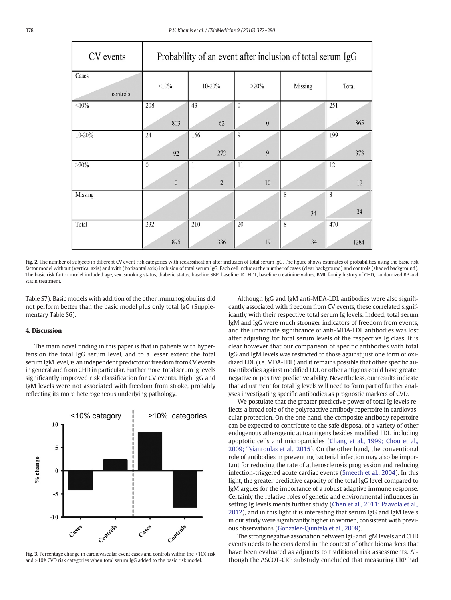<span id="page-6-0"></span>

| CV events         | Probability of an event after inclusion of total serum IgG |                |          |         |       |  |  |  |  |  |
|-------------------|------------------------------------------------------------|----------------|----------|---------|-------|--|--|--|--|--|
| Cases<br>controls | <10%                                                       | $10-20%$       | $>20\%$  | Missing | Total |  |  |  |  |  |
| <10%              | 208                                                        | 43             | $\theta$ |         | 251   |  |  |  |  |  |
|                   | 803                                                        | 62             | $\theta$ |         | 865   |  |  |  |  |  |
| $10 - 20%$        | 24                                                         | 166            | 9        |         | 199   |  |  |  |  |  |
|                   | 92                                                         | 272            | 9        |         | 373   |  |  |  |  |  |
| $>20\%$           | $\theta$                                                   | 1              | 11       |         | 12    |  |  |  |  |  |
|                   | $\mathbf{0}$                                               | $\overline{c}$ | 10       |         | 12    |  |  |  |  |  |
| Missing           |                                                            |                |          | 8       | 8     |  |  |  |  |  |
|                   |                                                            |                |          | 34      | 34    |  |  |  |  |  |
| Total             | 232                                                        | 210            | 20       | 8       | 470   |  |  |  |  |  |
|                   | 895                                                        | 336            | 19       | 34      | 1284  |  |  |  |  |  |

Fig. 2. The number of subjects in different CV event risk categories with reclassification after inclusion of total serum IgG. The figure shows estimates of probabilities using the basic risk factor model without (vertical axis) and with (horizontal axis) inclusion of total serum IgG. Each cell includes the number of cases (clear background) and controls (shaded background). The basic risk factor model included age, sex, smoking status, diabetic status, baseline SBP, baseline TC, HDL, baseline creatinine values, BMI, family history of CHD, randomized BP and statin treatment.

Table S7). Basic models with addition of the other immunoglobulins did not perform better than the basic model plus only total IgG (Supplementary Table S6).

# 4. Discussion

The main novel finding in this paper is that in patients with hypertension the total IgG serum level, and to a lesser extent the total serum IgM level, is an independent predictor of freedom from CV events in general and from CHD in particular. Furthermore, total serum Ig levels significantly improved risk classification for CV events. High IgG and IgM levels were not associated with freedom from stroke, probably reflecting its more heterogeneous underlying pathology.



Fig. 3. Percentage change in cardiovascular event cases and controls within the  $<$ 10% risk and >10% CVD risk categories when total serum IgG added to the basic risk model.

Although IgG and IgM anti-MDA-LDL antibodies were also significantly associated with freedom from CV events, these correlated significantly with their respective total serum Ig levels. Indeed, total serum IgM and IgG were much stronger indicators of freedom from events, and the univariate significance of anti-MDA-LDL antibodies was lost after adjusting for total serum levels of the respective Ig class. It is clear however that our comparison of specific antibodies with total IgG and IgM levels was restricted to those against just one form of oxidized LDL (i.e. MDA-LDL) and it remains possible that other specific autoantibodies against modified LDL or other antigens could have greater negative or positive predictive ability. Nevertheless, our results indicate that adjustment for total Ig levels will need to form part of further analyses investigating specific antibodies as prognostic markers of CVD.

We postulate that the greater predictive power of total Ig levels reflects a broad role of the polyreactive antibody repertoire in cardiovascular protection. On the one hand, the composite antibody repertoire can be expected to contribute to the safe disposal of a variety of other endogenous atherogenic autoantigens besides modified LDL, including apoptotic cells and microparticles ([Chang et al., 1999; Chou et al.,](#page-7-0) [2009; Tsiantoulas et al., 2015](#page-7-0)). On the other hand, the conventional role of antibodies in preventing bacterial infection may also be important for reducing the rate of atherosclerosis progression and reducing infection-triggered acute cardiac events [\(Smeeth et al., 2004](#page-8-0)). In this light, the greater predictive capacity of the total IgG level compared to IgM argues for the importance of a robust adaptive immune response. Certainly the relative roles of genetic and environmental influences in setting Ig levels merits further study ([Chen et al., 2011; Paavola et al.,](#page-7-0) [2012\)](#page-7-0), and in this light it is interesting that serum IgG and IgM levels in our study were significantly higher in women, consistent with previous observations ([Gonzalez-Quintela et al., 2008](#page-7-0)).

The strong negative association between IgG and IgM levels and CHD events needs to be considered in the context of other biomarkers that have been evaluated as adjuncts to traditional risk assessments. Although the ASCOT-CRP substudy concluded that measuring CRP had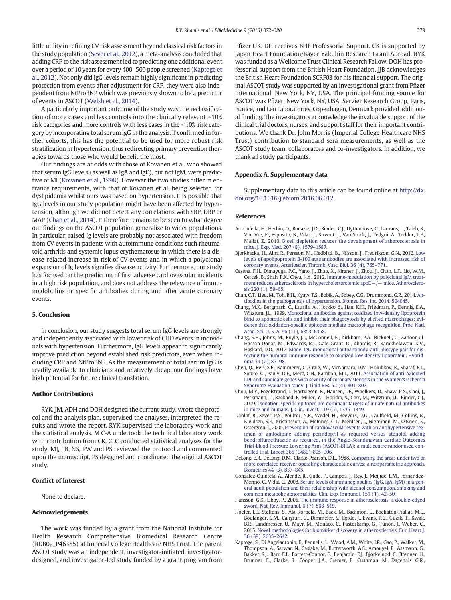<span id="page-7-0"></span>little utility in refining CV risk assessment beyond classical risk factors in the study population [\(Sever et al., 2012](#page-8-0)), a meta-analysis concluded that adding CRP to the risk assessment led to predicting one additional event over a period of 10 years for every 400–500 people screened (Kaptoge et al., 2012). Not only did IgG levels remain highly significant in predicting protection from events after adjustment for CRP, they were also independent from NtProBNP which was previously shown to be a predictor of events in ASCOT [\(Welsh et al., 2014](#page-8-0)).

A particularly important outcome of the study was the reclassification of more cases and less controls into the clinically relevant  $>10\%$ risk categories and more controls with less cases in the  $<10\%$  risk category by incorporating total serum IgG in the analysis. If confirmed in further cohorts, this has the potential to be used for more robust risk stratification in hypertension, thus redirecting primary prevention therapies towards those who would benefit the most.

Our findings are at odds with those of Kovanen et al. who showed that serum IgG levels (as well as IgA and IgE), but not IgM, were predictive of MI ([Kovanen et al., 1998](#page-8-0)). However the two studies differ in entrance requirements, with that of Kovanen et al. being selected for dyslipidemia whilst ours was based on hypertension. It is possible that IgG levels in our study population might have been affected by hypertension, although we did not detect any correlations with SBP, DBP or MAP (Chan et al., 2014). It therefore remains to be seen to what degree our findings on the ASCOT population generalize to wider populations. In particular, raised Ig levels are probably not associated with freedom from CV events in patients with autoimmune conditions such rheumatoid arthritis and systemic lupus erythematosus in which there is a disease-related increase in risk of CV events and in which a polyclonal expansion of Ig levels signifies disease activity. Furthermore, our study has focused on the prediction of first adverse cardiovascular incidents in a high risk population, and does not address the relevance of immunoglobulins or specific antibodies during and after acute coronary events.

## 5. Conclusion

In conclusion, our study suggests total serum IgG levels are strongly and independently associated with lower risk of CHD events in individuals with hypertension. Furthermore, IgG levels appear to significantly improve prediction beyond established risk predictors, even when including CRP and NtProBNP. As the measurement of total serum IgG is readily available to clinicians and relatively cheap, our findings have high potential for future clinical translation.

#### Author Contributions

RYK, JM, ADH and DOH designed the current study, wrote the protocol and the analysis plan, supervised the analyses, interpreted the results and wrote the report. RYK supervised the laboratory work and the statistical analysis. M C-A undertook the technical laboratory work with contribution from CK. CLC conducted statistical analyses for the study. MJ, JJB, NS, PW and PS reviewed the protocol and commented upon the manuscript. PS designed and coordinated the original ASCOT study.

# Conflict of Interest

None to declare.

# Acknowledgements

The work was funded by a grant from the National Institute for Health Research Comprehensive Biomedical Research Centre (RDB02\_P46385) at Imperial College Healthcare NHS Trust. The parent ASCOT study was an independent, investigator-initiated, investigatordesigned, and investigator-led study funded by a grant program from

Pfizer UK. DH receives BHF Professorial Support. CK is supported by Japan Heart Foundation/Bayer Yakuhin Research Grant Abroad. RYK was funded as a Wellcome Trust Clinical Research Fellow. DOH has professorial support from the British Heart Foundation. IJB acknowledges the British Heart Foundation SCRF03 for his financial support. The original ASCOT study was supported by an investigational grant from Pfizer International, New York, NY, USA. The principal funding source for ASCOT was Pfizer, New York, NY, USA. Servier Research Group, Paris, France, and Leo Laboratories, Copenhagen, Denmark provided additional funding. The investigators acknowledge the invaluable support of the clinical trial doctors, nurses, and support staff for their important contributions. We thank Dr. John Morris (Imperial College Healthcare NHS Trust) contribution to standard sera measurements, as well as the ASCOT study team, collaborators and co-investigators. In addition, we thank all study participants.

# Appendix A. Supplementary data

Supplementary data to this article can be found online at [http://dx.](doi:10.1016/j.ebiom.2016.06.012) [doi.org/10.1016/j.ebiom.2016.06.012.](doi:10.1016/j.ebiom.2016.06.012)

# References

- Ait-Oufella, H., Herbin, O., Bouaziz, J.D., Binder, C.J., Uyttenhove, C., Laurans, L., Taleb, S., Van Vre, E., Esposito, B., Vilar, J., Sirvent, J., Van Snick, J., Tedgui, A., Tedder, T.F., Mallat, Z., 2010. [B cell depletion reduces the development of atherosclerosis in](http://refhub.elsevier.com/S2352-3964(16)30256-0/rf0005) [mice. J. Exp. Med. 207 \(8\), 1579](http://refhub.elsevier.com/S2352-3964(16)30256-0/rf0005)–1587.
- Bjorkbacka, H., Alm, R., Persson, M., Hedblad, B., Nilsson, J., Fredrikson, G.N., 2016. [Low](http://refhub.elsevier.com/S2352-3964(16)30256-0/rf0010) [levels of apolipoprotein B-100 autoantibodies are associated with increased risk of](http://refhub.elsevier.com/S2352-3964(16)30256-0/rf0010) [coronary events. Arterioscler. Thromb. Vasc. Biol. 36 \(4\), 765](http://refhub.elsevier.com/S2352-3964(16)30256-0/rf0010)–771.
- Cesena, F.H., Dimayuga, P.C., Yano, J., Zhao, X., Kirzner, J., Zhou, J., Chan, L.F., Lio, W.M., Cercek, B., Shah, P.K., Chyu, K.Y., 2012. [Immune-modulation by polyclonal IgM treat](http://refhub.elsevier.com/S2352-3964(16)30256-0/rf0015)[ment reduces atherosclerosis in hypercholesterolemic apoE](http://refhub.elsevier.com/S2352-3964(16)30256-0/rf0015)−/− mice. Atherosclero[sis 220 \(1\), 59](http://refhub.elsevier.com/S2352-3964(16)30256-0/rf0015)-65.
- Chan, C.T., Lieu, M., Toh, B.H., Kyaw, T.S., Bobik, A., Sobey, C.G., Drummond, G.R., 2014. [An](http://refhub.elsevier.com/S2352-3964(16)30256-0/rf0020)[tibodies in the pathogenesis of hypertension. Biomed Res. Int. 2014, 504045.](http://refhub.elsevier.com/S2352-3964(16)30256-0/rf0020)
- Chang, M.K., Bergmark, C., Laurila, A., Horkko, S., Han, K.H., Friedman, P., Dennis, E.A., Witztum, J.L., 1999. [Monoclonal antibodies against oxidized low-density lipoprotein](http://refhub.elsevier.com/S2352-3964(16)30256-0/rf0025) [bind to apoptotic cells and inhibit their phagocytosis by elicited macrophages: evi](http://refhub.elsevier.com/S2352-3964(16)30256-0/rf0025)dence that oxidation-specifi[c epitopes mediate macrophage recognition. Proc. Natl.](http://refhub.elsevier.com/S2352-3964(16)30256-0/rf0025) [Acad. Sci. U. S. A. 96 \(11\), 6353](http://refhub.elsevier.com/S2352-3964(16)30256-0/rf0025)–6358.
- Chang, S.H., Johns, M., Boyle, J.J., McConnell, E., Kirkham, P.A., Bicknell, C., Zahoor-ul-Hassan Dogar, M., Edwards, R.J., Gale-Grant, O., Khamis, R., Ramkhelawon, K.V., Haskard, D.O., 2012. [Model IgG monoclonal autoantibody-anti-idiotype pair for dis](http://refhub.elsevier.com/S2352-3964(16)30256-0/rf0030)[secting the humoral immune response to oxidized low density lipoprotein. Hybrid](http://refhub.elsevier.com/S2352-3964(16)30256-0/rf0030)[oma 31 \(2\), 87](http://refhub.elsevier.com/S2352-3964(16)30256-0/rf0030)–98.
- Chen, Q., Reis, S.E., Kammerer, C., Craig, W., McNamara, D.M., Holubkov, R., Sharaf, B.L., Sopko, G., Pauly, D.F., Merz, C.N., Kamboh, M.I., 2011. [Association of anti-oxidized](http://refhub.elsevier.com/S2352-3964(16)30256-0/rf0035) [LDL and candidate genes with severity of coronary stenosis in the Women's Ischemia](http://refhub.elsevier.com/S2352-3964(16)30256-0/rf0035) [Syndrome Evaluation study. J. Lipid Res. 52 \(4\), 801](http://refhub.elsevier.com/S2352-3964(16)30256-0/rf0035)–807.
- Chou, M.Y., Fogelstrand, L., Hartvigsen, K., Hansen, L.F., Woelkers, D., Shaw, P.X., Choi, J., Perkmann, T., Backhed, F., Miller, Y.I., Horkko, S., Corr, M., Witztum, J.L., Binder, C.J., 2009. Oxidation-specifi[c epitopes are dominant targets of innate natural antibodies](http://refhub.elsevier.com/S2352-3964(16)30256-0/rf0040) [in mice and humans. J. Clin. Invest. 119 \(5\), 1335](http://refhub.elsevier.com/S2352-3964(16)30256-0/rf0040)–1349.
- Dahlof, B., Sever, P.S., Poulter, N.R., Wedel, H., Beevers, D.G., Caulfield, M., Collins, R., Kjeldsen, S.E., Kristinsson, A., McInnes, G.T., Mehlsen, J., Nieminen, M., O'Brien, E., Ostergren, J., 2005. [Prevention of cardiovascular events with an antihypertensive reg](http://refhub.elsevier.com/S2352-3964(16)30256-0/rf0045)[imen of amlodipine adding perindopril as required versus atenolol adding](http://refhub.elsevier.com/S2352-3964(16)30256-0/rf0045) bendrofl[umethiazide as required, in the Anglo-Scandinavian Cardiac Outcomes](http://refhub.elsevier.com/S2352-3964(16)30256-0/rf0045) [Trial-Blood Pressure Lowering Arm \(ASCOT-BPLA\): a multicentre randomised con](http://refhub.elsevier.com/S2352-3964(16)30256-0/rf0045)[trolled trial. Lancet 366 \(9489\), 895](http://refhub.elsevier.com/S2352-3964(16)30256-0/rf0045)–906.
- DeLong, E.R., DeLong, D.M., Clarke-Pearson, D.L., 1988. [Comparing the areas under two or](http://refhub.elsevier.com/S2352-3964(16)30256-0/rf0050) [more correlated receiver operating characteristic curves: a nonparametric approach.](http://refhub.elsevier.com/S2352-3964(16)30256-0/rf0050) [Biometrics 44 \(3\), 837](http://refhub.elsevier.com/S2352-3964(16)30256-0/rf0050)–845.
- Gonzalez-Quintela, A., Alende, R., Gude, F., Campos, J., Rey, J., Meijide, L.M., Fernandez-Merino, C., Vidal, C., 2008. [Serum levels of immunoglobulins \(IgG, IgA, IgM\) in a gen](http://refhub.elsevier.com/S2352-3964(16)30256-0/rf0055)[eral adult population and their relationship with alcohol consumption, smoking and](http://refhub.elsevier.com/S2352-3964(16)30256-0/rf0055) [common metabolic abnormalities. Clin. Exp. Immunol. 151 \(1\), 42](http://refhub.elsevier.com/S2352-3964(16)30256-0/rf0055)–50.
- Hansson, G.K., Libby, P., 2006. [The immune response in atherosclerosis: a double-edged](http://refhub.elsevier.com/S2352-3964(16)30256-0/rf0060) [sword. Nat. Rev. Immunol. 6 \(7\), 508](http://refhub.elsevier.com/S2352-3964(16)30256-0/rf0060)–519.
- Hoefer, I.E., Steffens, S., Ala-Korpela, M., Back, M., Badimon, L., Bochaton-Piallat, M.L., Boulanger, C.M., Caligiuri, G., Dimmeler, S., Egido, J., Evans, P.C., Guzik, T., Kwak, B.R., Landmesser, U., Mayr, M., Monaco, C., Pasterkamp, G., Tunon, J., Weber, C., 2015. [Novel methodologies for biomarker discovery in atherosclerosis. Eur. Heart J.](http://refhub.elsevier.com/S2352-3964(16)30256-0/rf0065) [36 \(39\), 2635](http://refhub.elsevier.com/S2352-3964(16)30256-0/rf0065)–2642.
- Kaptoge, S., Di Angelantonio, E., Pennells, L., Wood, A.M., White, I.R., Gao, P., Walker, M., Thompson, A., Sarwar, N., Caslake, M., Butterworth, A.S., Amouyel, P., Assmann, G., Bakker, S.J., Barr, E.L., Barrett-Connor, E., Benjamin, E.J., Bjorkelund, C., Brenner, H., Brunner, E., Clarke, R., Cooper, J.A., Cremer, P., Cushman, M., Dagenais, G.R.,